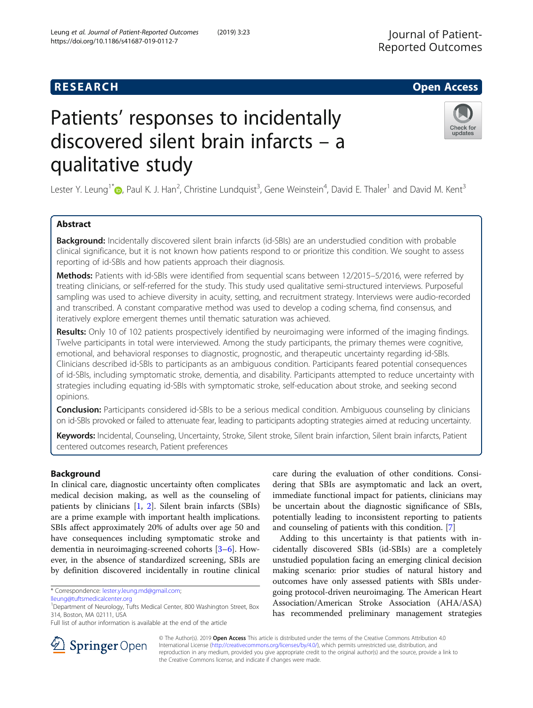## Check for updates

# Patients' responses to incidentally discovered silent brain infarcts – a qualitative study

Lester Y. Leung<sup>1\*</sup> <sub>(b</sub>[,](http://orcid.org/0000-0002-5027-7740) Paul K. J. Han<sup>2</sup>, Christine Lundquist<sup>3</sup>, Gene Weinstein<sup>4</sup>, David E. Thaler<sup>1</sup> and David M. Kent<sup>3</sup>

### Abstract

**Background:** Incidentally discovered silent brain infarcts (id-SBIs) are an understudied condition with probable clinical significance, but it is not known how patients respond to or prioritize this condition. We sought to assess reporting of id-SBIs and how patients approach their diagnosis.

Methods: Patients with id-SBIs were identified from sequential scans between 12/2015–5/2016, were referred by treating clinicians, or self-referred for the study. This study used qualitative semi-structured interviews. Purposeful sampling was used to achieve diversity in acuity, setting, and recruitment strategy. Interviews were audio-recorded and transcribed. A constant comparative method was used to develop a coding schema, find consensus, and iteratively explore emergent themes until thematic saturation was achieved.

Results: Only 10 of 102 patients prospectively identified by neuroimaging were informed of the imaging findings. Twelve participants in total were interviewed. Among the study participants, the primary themes were cognitive, emotional, and behavioral responses to diagnostic, prognostic, and therapeutic uncertainty regarding id-SBIs. Clinicians described id-SBIs to participants as an ambiguous condition. Participants feared potential consequences of id-SBIs, including symptomatic stroke, dementia, and disability. Participants attempted to reduce uncertainty with strategies including equating id-SBIs with symptomatic stroke, self-education about stroke, and seeking second opinions.

**Conclusion:** Participants considered id-SBIs to be a serious medical condition. Ambiguous counseling by clinicians on id-SBIs provoked or failed to attenuate fear, leading to participants adopting strategies aimed at reducing uncertainty.

Keywords: Incidental, Counseling, Uncertainty, Stroke, Silent stroke, Silent brain infarction, Silent brain infarcts, Patient centered outcomes research, Patient preferences

#### Background

In clinical care, diagnostic uncertainty often complicates medical decision making, as well as the counseling of patients by clinicians [[1,](#page-9-0) [2\]](#page-9-0). Silent brain infarcts (SBIs) are a prime example with important health implications. SBIs affect approximately 20% of adults over age 50 and have consequences including symptomatic stroke and dementia in neuroimaging-screened cohorts [\[3](#page-9-0)–[6](#page-9-0)]. However, in the absence of standardized screening, SBIs are by definition discovered incidentally in routine clinical

\* Correspondence: [lester.y.leung.md@gmail.com](mailto:lester.y.leung.md@gmail.com);

care during the evaluation of other conditions. Considering that SBIs are asymptomatic and lack an overt, immediate functional impact for patients, clinicians may be uncertain about the diagnostic significance of SBIs, potentially leading to inconsistent reporting to patients and counseling of patients with this condition. [\[7](#page-9-0)]

Adding to this uncertainty is that patients with incidentally discovered SBIs (id-SBIs) are a completely unstudied population facing an emerging clinical decision making scenario: prior studies of natural history and outcomes have only assessed patients with SBIs undergoing protocol-driven neuroimaging. The American Heart Association/American Stroke Association (AHA/ASA) has recommended preliminary management strategies



© The Author(s). 2019 Open Access This article is distributed under the terms of the Creative Commons Attribution 4.0 International License ([http://creativecommons.org/licenses/by/4.0/\)](http://creativecommons.org/licenses/by/4.0/), which permits unrestricted use, distribution, and reproduction in any medium, provided you give appropriate credit to the original author(s) and the source, provide a link to the Creative Commons license, and indicate if changes were made.

[lleung@tuftsmedicalcenter.org](mailto:lleung@tuftsmedicalcenter.org)

<sup>&</sup>lt;sup>1</sup>Department of Neurology, Tufts Medical Center, 800 Washington Street, Box 314, Boston, MA 02111, USA

Full list of author information is available at the end of the article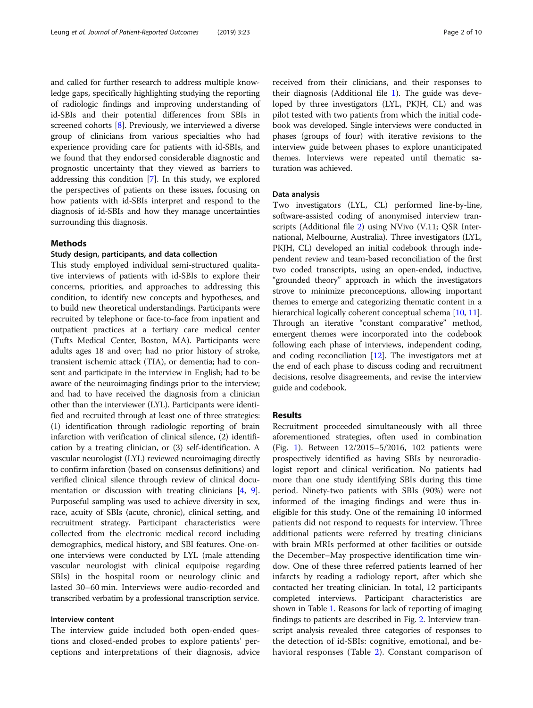and called for further research to address multiple knowledge gaps, specifically highlighting studying the reporting of radiologic findings and improving understanding of id-SBIs and their potential differences from SBIs in screened cohorts [\[8](#page-9-0)]. Previously, we interviewed a diverse group of clinicians from various specialties who had experience providing care for patients with id-SBIs, and we found that they endorsed considerable diagnostic and prognostic uncertainty that they viewed as barriers to addressing this condition [\[7](#page-9-0)]. In this study, we explored the perspectives of patients on these issues, focusing on how patients with id-SBIs interpret and respond to the diagnosis of id-SBIs and how they manage uncertainties surrounding this diagnosis.

#### Methods

#### Study design, participants, and data collection

This study employed individual semi-structured qualitative interviews of patients with id-SBIs to explore their concerns, priorities, and approaches to addressing this condition, to identify new concepts and hypotheses, and to build new theoretical understandings. Participants were recruited by telephone or face-to-face from inpatient and outpatient practices at a tertiary care medical center (Tufts Medical Center, Boston, MA). Participants were adults ages 18 and over; had no prior history of stroke, transient ischemic attack (TIA), or dementia; had to consent and participate in the interview in English; had to be aware of the neuroimaging findings prior to the interview; and had to have received the diagnosis from a clinician other than the interviewer (LYL). Participants were identified and recruited through at least one of three strategies: (1) identification through radiologic reporting of brain infarction with verification of clinical silence, (2) identification by a treating clinician, or (3) self-identification. A vascular neurologist (LYL) reviewed neuroimaging directly to confirm infarction (based on consensus definitions) and verified clinical silence through review of clinical docu-mentation or discussion with treating clinicians [\[4](#page-9-0), [9](#page-9-0)]. Purposeful sampling was used to achieve diversity in sex, race, acuity of SBIs (acute, chronic), clinical setting, and recruitment strategy. Participant characteristics were collected from the electronic medical record including demographics, medical history, and SBI features. One-onone interviews were conducted by LYL (male attending vascular neurologist with clinical equipoise regarding SBIs) in the hospital room or neurology clinic and lasted 30–60 min. Interviews were audio-recorded and transcribed verbatim by a professional transcription service.

#### Interview content

The interview guide included both open-ended questions and closed-ended probes to explore patients' perceptions and interpretations of their diagnosis, advice

received from their clinicians, and their responses to their diagnosis (Additional file [1](#page-8-0)). The guide was developed by three investigators (LYL, PKJH, CL) and was pilot tested with two patients from which the initial codebook was developed. Single interviews were conducted in phases (groups of four) with iterative revisions to the interview guide between phases to explore unanticipated themes. Interviews were repeated until thematic saturation was achieved.

#### Data analysis

Two investigators (LYL, CL) performed line-by-line, software-assisted coding of anonymised interview transcripts (Additional file [2](#page-8-0)) using NVivo (V.11; QSR International, Melbourne, Australia). Three investigators (LYL, PKJH, CL) developed an initial codebook through independent review and team-based reconciliation of the first two coded transcripts, using an open-ended, inductive, "grounded theory" approach in which the investigators strove to minimize preconceptions, allowing important themes to emerge and categorizing thematic content in a hierarchical logically coherent conceptual schema [\[10,](#page-9-0) [11](#page-9-0)]. Through an iterative "constant comparative" method, emergent themes were incorporated into the codebook following each phase of interviews, independent coding, and coding reconciliation  $[12]$ . The investigators met at the end of each phase to discuss coding and recruitment decisions, resolve disagreements, and revise the interview guide and codebook.

#### Results

Recruitment proceeded simultaneously with all three aforementioned strategies, often used in combination (Fig. [1](#page-2-0)). Between 12/2015–5/2016, 102 patients were prospectively identified as having SBIs by neuroradiologist report and clinical verification. No patients had more than one study identifying SBIs during this time period. Ninety-two patients with SBIs (90%) were not informed of the imaging findings and were thus ineligible for this study. One of the remaining 10 informed patients did not respond to requests for interview. Three additional patients were referred by treating clinicians with brain MRIs performed at other facilities or outside the December–May prospective identification time window. One of these three referred patients learned of her infarcts by reading a radiology report, after which she contacted her treating clinician. In total, 12 participants completed interviews. Participant characteristics are shown in Table [1](#page-3-0). Reasons for lack of reporting of imaging findings to patients are described in Fig. [2](#page-4-0). Interview transcript analysis revealed three categories of responses to the detection of id-SBIs: cognitive, emotional, and behavioral responses (Table [2\)](#page-4-0). Constant comparison of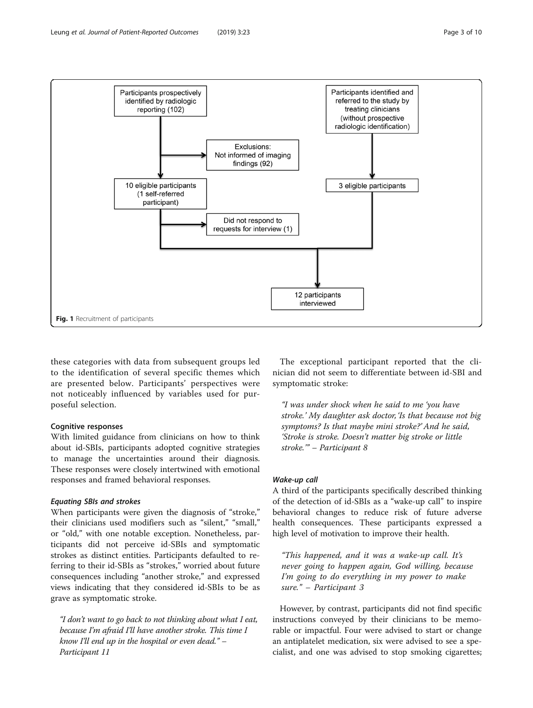<span id="page-2-0"></span>

these categories with data from subsequent groups led to the identification of several specific themes which are presented below. Participants' perspectives were not noticeably influenced by variables used for purposeful selection.

#### Cognitive responses

With limited guidance from clinicians on how to think about id-SBIs, participants adopted cognitive strategies to manage the uncertainties around their diagnosis. These responses were closely intertwined with emotional responses and framed behavioral responses.

#### Equating SBIs and strokes

When participants were given the diagnosis of "stroke," their clinicians used modifiers such as "silent," "small," or "old," with one notable exception. Nonetheless, participants did not perceive id-SBIs and symptomatic strokes as distinct entities. Participants defaulted to referring to their id-SBIs as "strokes," worried about future consequences including "another stroke," and expressed views indicating that they considered id-SBIs to be as grave as symptomatic stroke.

"I don't want to go back to not thinking about what I eat, because I'm afraid I'll have another stroke. This time I know I'll end up in the hospital or even dead." – Participant 11

The exceptional participant reported that the clinician did not seem to differentiate between id-SBI and symptomatic stroke:

"I was under shock when he said to me 'you have stroke.' My daughter ask doctor, 'Is that because not big symptoms? Is that maybe mini stroke?' And he said, 'Stroke is stroke. Doesn't matter big stroke or little stroke.'" – Participant 8

#### Wake-up call

A third of the participants specifically described thinking of the detection of id-SBIs as a "wake-up call" to inspire behavioral changes to reduce risk of future adverse health consequences. These participants expressed a high level of motivation to improve their health.

"This happened, and it was a wake-up call. It's never going to happen again, God willing, because I'm going to do everything in my power to make sure." – Participant 3

However, by contrast, participants did not find specific instructions conveyed by their clinicians to be memorable or impactful. Four were advised to start or change an antiplatelet medication, six were advised to see a specialist, and one was advised to stop smoking cigarettes;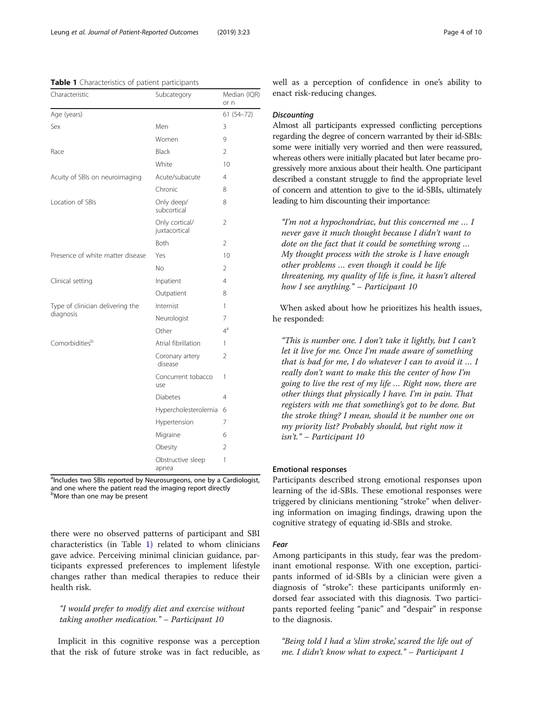<span id="page-3-0"></span>Table 1 Characteristics of patient participants

| Characteristic                                | Subcategory                     | Median (IQR)<br>or n |
|-----------------------------------------------|---------------------------------|----------------------|
| Age (years)                                   |                                 | $61(54 - 72)$        |
| Sex                                           | Men                             | 3                    |
|                                               | Women                           | 9                    |
| Race                                          | Black                           | $\mathfrak{D}$       |
|                                               | White                           | 10                   |
| Acuity of SBIs on neuroimaging                | Acute/subacute                  | $\overline{4}$       |
|                                               | Chronic                         | 8                    |
| Location of SBIs                              | Only deep/<br>subcortical       | 8                    |
|                                               | Only cortical/<br>juxtacortical | $\overline{2}$       |
|                                               | <b>Both</b>                     | $\mathfrak{D}$       |
| Presence of white matter disease              | Yes                             | 10                   |
|                                               | No                              | $\overline{2}$       |
| Clinical setting                              | Inpatient                       | 4                    |
|                                               | Outpatient                      | 8                    |
| Type of clinician delivering the<br>diagnosis | Internist                       | 1                    |
|                                               | Neurologist                     | 7                    |
|                                               | Other                           | $4^a$                |
| Comorbiditiesb                                | Atrial fibrillation             | 1                    |
|                                               | Coronary artery<br>disease      | 2                    |
|                                               | Concurrent tobacco<br>use       | 1                    |
|                                               | <b>Diabetes</b>                 | 4                    |
|                                               | Hypercholesterolemia            | 6                    |
|                                               | Hypertension                    | 7                    |
|                                               | Migraine                        | 6                    |
|                                               | Obesity                         | 2                    |
|                                               | Obstructive sleep<br>apnea      | 1                    |

alncludes two SBIs reported by Neurosurgeons, one by a Cardiologist, and one where the patient read the imaging report directly bMore than one may be present

there were no observed patterns of participant and SBI characteristics (in Table 1) related to whom clinicians gave advice. Perceiving minimal clinician guidance, participants expressed preferences to implement lifestyle changes rather than medical therapies to reduce their health risk.

#### "I would prefer to modify diet and exercise without taking another medication." – Participant 10

Implicit in this cognitive response was a perception that the risk of future stroke was in fact reducible, as well as a perception of confidence in one's ability to enact risk-reducing changes.

#### **Discounting**

Almost all participants expressed conflicting perceptions regarding the degree of concern warranted by their id-SBIs: some were initially very worried and then were reassured, whereas others were initially placated but later became progressively more anxious about their health. One participant described a constant struggle to find the appropriate level of concern and attention to give to the id-SBIs, ultimately leading to him discounting their importance:

"I'm not a hypochondriac, but this concerned me … I never gave it much thought because I didn't want to dote on the fact that it could be something wrong … My thought process with the stroke is I have enough other problems … even though it could be life threatening, my quality of life is fine, it hasn't altered how I see anything." – Participant 10

When asked about how he prioritizes his health issues, he responded:

"This is number one. I don't take it lightly, but I can't let it live for me. Once I'm made aware of something that is bad for me, I do whatever I can to avoid it … I really don't want to make this the center of how I'm going to live the rest of my life … Right now, there are other things that physically I have. I'm in pain. That registers with me that something's got to be done. But the stroke thing? I mean, should it be number one on my priority list? Probably should, but right now it isn't." – Participant 10

#### Emotional responses

Participants described strong emotional responses upon learning of the id-SBIs. These emotional responses were triggered by clinicians mentioning "stroke" when delivering information on imaging findings, drawing upon the cognitive strategy of equating id-SBIs and stroke.

#### Fear

Among participants in this study, fear was the predominant emotional response. With one exception, participants informed of id-SBIs by a clinician were given a diagnosis of "stroke": these participants uniformly endorsed fear associated with this diagnosis. Two participants reported feeling "panic" and "despair" in response to the diagnosis.

"Being told I had a 'slim stroke,' scared the life out of me. I didn't know what to expect." – Participant 1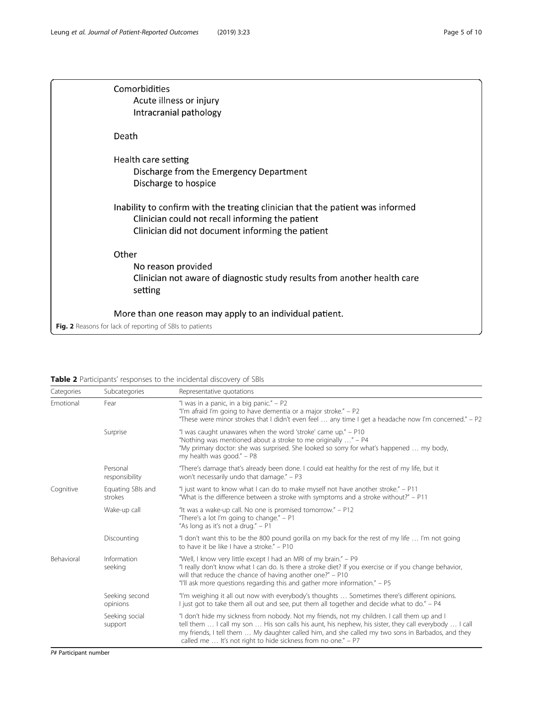<span id="page-4-0"></span>

| Comorbidities<br>Acute illness or injury<br>Intracranial pathology                                                                                                                     |
|----------------------------------------------------------------------------------------------------------------------------------------------------------------------------------------|
| Death                                                                                                                                                                                  |
| Health care setting<br>Discharge from the Emergency Department<br>Discharge to hospice                                                                                                 |
| Inability to confirm with the treating clinician that the patient was informed<br>Clinician could not recall informing the patient<br>Clinician did not document informing the patient |
| Other<br>No reason provided<br>Clinician not aware of diagnostic study results from another health care<br>setting                                                                     |
| More than one reason may apply to an individual patient.<br>Fig. 2 Reasons for lack of reporting of SBIs to patients                                                                   |

| <b>Table 2</b> Participants' responses to the incidental discovery of SBIs |  |  |  |
|----------------------------------------------------------------------------|--|--|--|
|----------------------------------------------------------------------------|--|--|--|

| Categories                                                               | Subcategories              | Representative quotations                                                                                                                                                                                                                                                                                                                                                   |
|--------------------------------------------------------------------------|----------------------------|-----------------------------------------------------------------------------------------------------------------------------------------------------------------------------------------------------------------------------------------------------------------------------------------------------------------------------------------------------------------------------|
| Emotional                                                                | Fear                       | "I was in a panic, in a big panic." $-$ P2<br>"I'm afraid I'm going to have dementia or a major stroke." - P2<br>"These were minor strokes that I didn't even feel  any time I get a headache now I'm concerned." – P2                                                                                                                                                      |
|                                                                          | Surprise                   | "I was caught unawares when the word 'stroke' came up." - P10<br>"Nothing was mentioned about a stroke to me originally " - P4<br>"My primary doctor: she was surprised. She looked so sorry for what's happened  my body,<br>my health was good." - P8                                                                                                                     |
|                                                                          | Personal<br>responsibility | "There's damage that's already been done. I could eat healthy for the rest of my life, but it<br>won't necessarily undo that damage." - P3                                                                                                                                                                                                                                  |
| Cognitive<br>Equating SBIs and<br>strokes<br>Wake-up call<br>Discounting |                            | "I just want to know what I can do to make myself not have another stroke." - P11<br>"What is the difference between a stroke with symptoms and a stroke without?" - P11                                                                                                                                                                                                    |
|                                                                          |                            | "It was a wake-up call. No one is promised tomorrow." - P12<br>"There's a lot I'm going to change." $- P1$<br>"As long as it's not a drug." - P1                                                                                                                                                                                                                            |
|                                                                          |                            | "I don't want this to be the 800 pound gorilla on my back for the rest of my life  I'm not going<br>to have it be like I have a stroke." - P10                                                                                                                                                                                                                              |
| Behavioral                                                               | Information<br>seeking     | "Well, I know very little except I had an MRI of my brain." - P9<br>"I really don't know what I can do. Is there a stroke diet? If you exercise or if you change behavior,<br>will that reduce the chance of having another one?" – P10<br>"I'll ask more questions regarding this and gather more information." – P5                                                       |
|                                                                          | Seeking second<br>opinions | "I'm weighing it all out now with everybody's thoughts  Sometimes there's different opinions.<br>I just got to take them all out and see, put them all together and decide what to do." – P4                                                                                                                                                                                |
|                                                                          | Seeking social<br>support  | "I don't hide my sickness from nobody. Not my friends, not my children. I call them up and I<br>tell them  I call my son  His son calls his aunt, his nephew, his sister, they call everybody  I call<br>my friends, I tell them  My daughter called him, and she called my two sons in Barbados, and they<br>called me  It's not right to hide sickness from no one." - P7 |

P# Participant number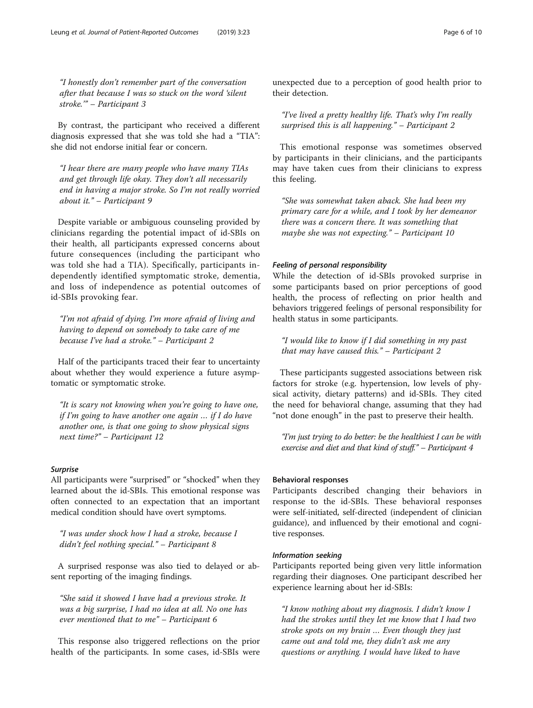"I honestly don't remember part of the conversation after that because I was so stuck on the word 'silent stroke.'" – Participant 3

By contrast, the participant who received a different diagnosis expressed that she was told she had a "TIA": she did not endorse initial fear or concern.

"I hear there are many people who have many TIAs and get through life okay. They don't all necessarily end in having a major stroke. So I'm not really worried about it." – Participant 9

Despite variable or ambiguous counseling provided by clinicians regarding the potential impact of id-SBIs on their health, all participants expressed concerns about future consequences (including the participant who was told she had a TIA). Specifically, participants independently identified symptomatic stroke, dementia, and loss of independence as potential outcomes of id-SBIs provoking fear.

"I'm not afraid of dying. I'm more afraid of living and having to depend on somebody to take care of me because I've had a stroke." – Participant 2

Half of the participants traced their fear to uncertainty about whether they would experience a future asymptomatic or symptomatic stroke.

"It is scary not knowing when you're going to have one, if I'm going to have another one again … if I do have another one, is that one going to show physical signs next time?" – Participant 12

#### Surprise

All participants were "surprised" or "shocked" when they learned about the id-SBIs. This emotional response was often connected to an expectation that an important medical condition should have overt symptoms.

"I was under shock how I had a stroke, because I didn't feel nothing special." – Participant 8

A surprised response was also tied to delayed or absent reporting of the imaging findings.

"She said it showed I have had a previous stroke. It was a big surprise, I had no idea at all. No one has ever mentioned that to me" – Participant 6

This response also triggered reflections on the prior health of the participants. In some cases, id-SBIs were unexpected due to a perception of good health prior to their detection.

"I've lived a pretty healthy life. That's why I'm really surprised this is all happening." – Participant 2

This emotional response was sometimes observed by participants in their clinicians, and the participants may have taken cues from their clinicians to express this feeling.

"She was somewhat taken aback. She had been my primary care for a while, and I took by her demeanor there was a concern there. It was something that maybe she was not expecting." – Participant 10

#### Feeling of personal responsibility

While the detection of id-SBIs provoked surprise in some participants based on prior perceptions of good health, the process of reflecting on prior health and behaviors triggered feelings of personal responsibility for health status in some participants.

"I would like to know if I did something in my past that may have caused this."  $-$  Participant 2

These participants suggested associations between risk factors for stroke (e.g. hypertension, low levels of physical activity, dietary patterns) and id-SBIs. They cited the need for behavioral change, assuming that they had "not done enough" in the past to preserve their health.

"I'm just trying to do better: be the healthiest I can be with exercise and diet and that kind of stuff." – Participant 4

#### Behavioral responses

Participants described changing their behaviors in response to the id-SBIs. These behavioral responses were self-initiated, self-directed (independent of clinician guidance), and influenced by their emotional and cognitive responses.

#### Information seeking

Participants reported being given very little information regarding their diagnoses. One participant described her experience learning about her id-SBIs:

"I know nothing about my diagnosis. I didn't know I had the strokes until they let me know that I had two stroke spots on my brain … Even though they just came out and told me, they didn't ask me any questions or anything. I would have liked to have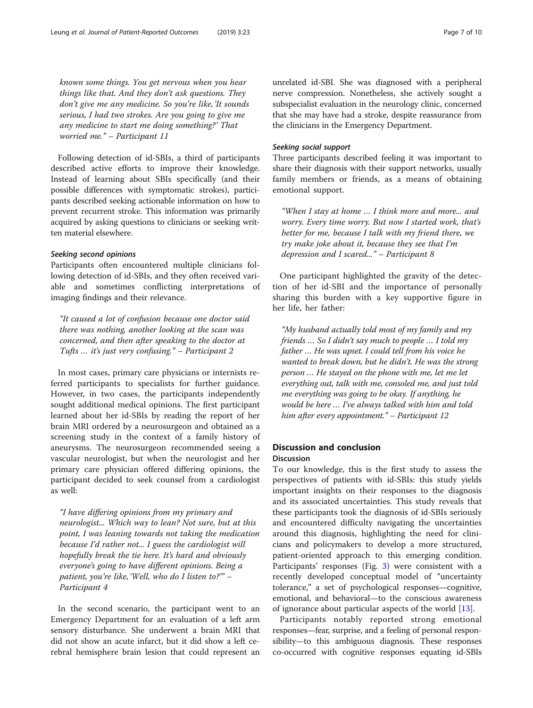known some things. You get nervous when you hear things like that. And they don't ask questions. They don't give me any medicine. So you're like, 'It sounds serious, I had two strokes. Are you going to give me any medicine to start me doing something?' That worried me." – Participant 11

Following detection of id-SBIs, a third of participants described active efforts to improve their knowledge. Instead of learning about SBIs specifically (and their possible differences with symptomatic strokes), participants described seeking actionable information on how to prevent recurrent stroke. This information was primarily acquired by asking questions to clinicians or seeking written material elsewhere.

#### Seeking second opinions

Participants often encountered multiple clinicians following detection of id-SBIs, and they often received variable and sometimes conflicting interpretations of imaging findings and their relevance.

"It caused a lot of confusion because one doctor said there was nothing, another looking at the scan was concerned, and then after speaking to the doctor at Tufts … it's just very confusing." – Participant 2

In most cases, primary care physicians or internists referred participants to specialists for further guidance. However, in two cases, the participants independently sought additional medical opinions. The first participant learned about her id-SBIs by reading the report of her brain MRI ordered by a neurosurgeon and obtained as a screening study in the context of a family history of aneurysms. The neurosurgeon recommended seeing a vascular neurologist, but when the neurologist and her primary care physician offered differing opinions, the participant decided to seek counsel from a cardiologist as well:

"I have differing opinions from my primary and neurologist... Which way to lean? Not sure, but at this point, I was leaning towards not taking the medication because I'd rather not... I guess the cardiologist will hopefully break the tie here. It's hard and obviously everyone's going to have different opinions. Being a patient, you're like, 'Well, who do I listen to?'" – Participant 4

In the second scenario, the participant went to an Emergency Department for an evaluation of a left arm sensory disturbance. She underwent a brain MRI that did not show an acute infarct, but it did show a left cerebral hemisphere brain lesion that could represent an

unrelated id-SBI. She was diagnosed with a peripheral nerve compression. Nonetheless, she actively sought a subspecialist evaluation in the neurology clinic, concerned that she may have had a stroke, despite reassurance from the clinicians in the Emergency Department.

#### Seeking social support

Three participants described feeling it was important to share their diagnosis with their support networks, usually family members or friends, as a means of obtaining emotional support.

"When I stay at home … I think more and more... and worry. Every time worry. But now I started work, that's better for me, because I talk with my friend there, we try make joke about it, because they see that I'm depression and I scared..." – Participant 8

One participant highlighted the gravity of the detection of her id-SBI and the importance of personally sharing this burden with a key supportive figure in her life, her father:

"My husband actually told most of my family and my friends … So I didn't say much to people … I told my father … He was upset. I could tell from his voice he wanted to break down, but he didn't. He was the strong person … He stayed on the phone with me, let me let everything out, talk with me, consoled me, and just told me everything was going to be okay. If anything, he would be here … I've always talked with him and told him after every appointment." – Participant 12

#### Discussion and conclusion Discussion

To our knowledge, this is the first study to assess the perspectives of patients with id-SBIs: this study yields important insights on their responses to the diagnosis and its associated uncertainties. This study reveals that these participants took the diagnosis of id-SBIs seriously and encountered difficulty navigating the uncertainties around this diagnosis, highlighting the need for clinicians and policymakers to develop a more structured, patient-oriented approach to this emerging condition. Participants' responses (Fig. [3](#page-7-0)) were consistent with a recently developed conceptual model of "uncertainty tolerance," a set of psychological responses—cognitive, emotional, and behavioral—to the conscious awareness of ignorance about particular aspects of the world [[13](#page-9-0)].

Participants notably reported strong emotional responses—fear, surprise, and a feeling of personal responsibility—to this ambiguous diagnosis. These responses co-occurred with cognitive responses equating id-SBIs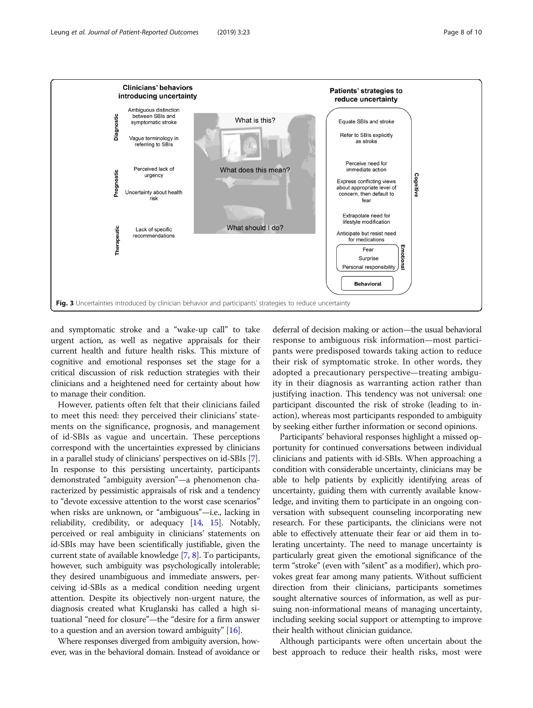<span id="page-7-0"></span>

and symptomatic stroke and a "wake-up call" to take urgent action, as well as negative appraisals for their current health and future health risks. This mixture of cognitive and emotional responses set the stage for a critical discussion of risk reduction strategies with their clinicians and a heightened need for certainty about how to manage their condition.

However, patients often felt that their clinicians failed to meet this need: they perceived their clinicians' statements on the significance, prognosis, and management of id-SBIs as vague and uncertain. These perceptions correspond with the uncertainties expressed by clinicians in a parallel study of clinicians' perspectives on id-SBIs [[7](#page-9-0)]. In response to this persisting uncertainty, participants demonstrated "ambiguity aversion"—a phenomenon characterized by pessimistic appraisals of risk and a tendency to "devote excessive attention to the worst case scenarios" when risks are unknown, or "ambiguous"—i.e., lacking in reliability, credibility, or adequacy [[14](#page-9-0), [15](#page-9-0)]. Notably, perceived or real ambiguity in clinicians' statements on id-SBIs may have been scientifically justifiable, given the current state of available knowledge [\[7](#page-9-0), [8](#page-9-0)]. To participants, however, such ambiguity was psychologically intolerable; they desired unambiguous and immediate answers, perceiving id-SBIs as a medical condition needing urgent attention. Despite its objectively non-urgent nature, the diagnosis created what Kruglanski has called a high situational "need for closure"—the "desire for a firm answer to a question and an aversion toward ambiguity" [\[16\]](#page-9-0).

Where responses diverged from ambiguity aversion, however, was in the behavioral domain. Instead of avoidance or

deferral of decision making or action—the usual behavioral response to ambiguous risk information—most participants were predisposed towards taking action to reduce their risk of symptomatic stroke. In other words, they adopted a precautionary perspective—treating ambiguity in their diagnosis as warranting action rather than justifying inaction. This tendency was not universal: one participant discounted the risk of stroke (leading to inaction), whereas most participants responded to ambiguity by seeking either further information or second opinions.

Participants' behavioral responses highlight a missed opportunity for continued conversations between individual clinicians and patients with id-SBIs. When approaching a condition with considerable uncertainty, clinicians may be able to help patients by explicitly identifying areas of uncertainty, guiding them with currently available knowledge, and inviting them to participate in an ongoing conversation with subsequent counseling incorporating new research. For these participants, the clinicians were not able to effectively attenuate their fear or aid them in tolerating uncertainty. The need to manage uncertainty is particularly great given the emotional significance of the term "stroke" (even with "silent" as a modifier), which provokes great fear among many patients. Without sufficient direction from their clinicians, participants sometimes sought alternative sources of information, as well as pursuing non-informational means of managing uncertainty, including seeking social support or attempting to improve their health without clinician guidance.

Although participants were often uncertain about the best approach to reduce their health risks, most were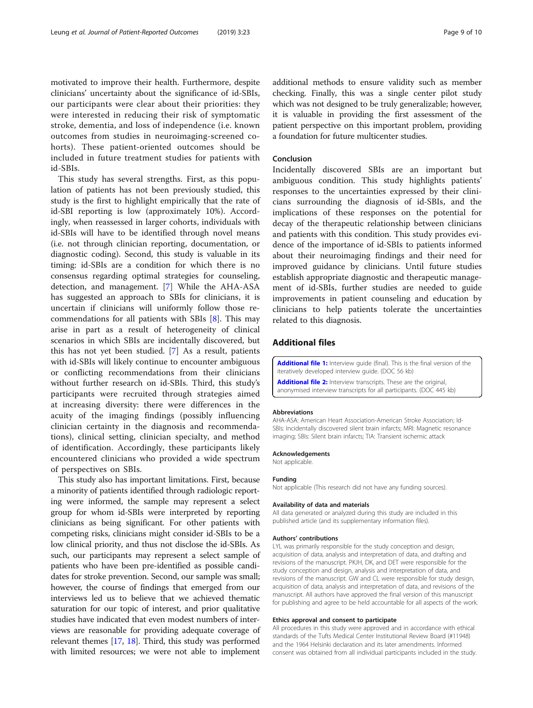<span id="page-8-0"></span>motivated to improve their health. Furthermore, despite clinicians' uncertainty about the significance of id-SBIs, our participants were clear about their priorities: they were interested in reducing their risk of symptomatic stroke, dementia, and loss of independence (i.e. known outcomes from studies in neuroimaging-screened cohorts). These patient-oriented outcomes should be included in future treatment studies for patients with id-SBIs.

This study has several strengths. First, as this population of patients has not been previously studied, this study is the first to highlight empirically that the rate of id-SBI reporting is low (approximately 10%). Accordingly, when reassessed in larger cohorts, individuals with id-SBIs will have to be identified through novel means (i.e. not through clinician reporting, documentation, or diagnostic coding). Second, this study is valuable in its timing: id-SBIs are a condition for which there is no consensus regarding optimal strategies for counseling, detection, and management. [\[7](#page-9-0)] While the AHA-ASA has suggested an approach to SBIs for clinicians, it is uncertain if clinicians will uniformly follow those recommendations for all patients with SBIs [[8](#page-9-0)]. This may arise in part as a result of heterogeneity of clinical scenarios in which SBIs are incidentally discovered, but this has not yet been studied. [[7\]](#page-9-0) As a result, patients with id-SBIs will likely continue to encounter ambiguous or conflicting recommendations from their clinicians without further research on id-SBIs. Third, this study's participants were recruited through strategies aimed at increasing diversity: there were differences in the acuity of the imaging findings (possibly influencing clinician certainty in the diagnosis and recommendations), clinical setting, clinician specialty, and method of identification. Accordingly, these participants likely encountered clinicians who provided a wide spectrum of perspectives on SBIs.

This study also has important limitations. First, because a minority of patients identified through radiologic reporting were informed, the sample may represent a select group for whom id-SBIs were interpreted by reporting clinicians as being significant. For other patients with competing risks, clinicians might consider id-SBIs to be a low clinical priority, and thus not disclose the id-SBIs. As such, our participants may represent a select sample of patients who have been pre-identified as possible candidates for stroke prevention. Second, our sample was small; however, the course of findings that emerged from our interviews led us to believe that we achieved thematic saturation for our topic of interest, and prior qualitative studies have indicated that even modest numbers of interviews are reasonable for providing adequate coverage of relevant themes [[17,](#page-9-0) [18](#page-9-0)]. Third, this study was performed with limited resources; we were not able to implement additional methods to ensure validity such as member checking. Finally, this was a single center pilot study which was not designed to be truly generalizable; however, it is valuable in providing the first assessment of the patient perspective on this important problem, providing a foundation for future multicenter studies.

#### Conclusion

Incidentally discovered SBIs are an important but ambiguous condition. This study highlights patients' responses to the uncertainties expressed by their clinicians surrounding the diagnosis of id-SBIs, and the implications of these responses on the potential for decay of the therapeutic relationship between clinicians and patients with this condition. This study provides evidence of the importance of id-SBIs to patients informed about their neuroimaging findings and their need for improved guidance by clinicians. Until future studies establish appropriate diagnostic and therapeutic management of id-SBIs, further studies are needed to guide improvements in patient counseling and education by clinicians to help patients tolerate the uncertainties related to this diagnosis.

#### Additional files

[Additional file 1:](https://doi.org/10.1186/s41687-019-0112-7) Interview quide (final). This is the final version of the iteratively developed interview guide. (DOC 56 kb)

[Additional file 2:](https://doi.org/10.1186/s41687-019-0112-7) Interview transcripts. These are the original anonymised interview transcripts for all participants. (DOC 445 kb)

#### Abbreviations

AHA-ASA: American Heart Association-American Stroke Association; Id-SBIs: Incidentally discovered silent brain infarcts; MRI: Magnetic resonance imaging; SBIs: Silent brain infarcts; TIA: Transient ischemic attack

#### Acknowledgements

Not applicable.

#### Funding

Not applicable (This research did not have any funding sources).

#### Availability of data and materials

All data generated or analyzed during this study are included in this published article (and its supplementary information files).

#### Authors' contributions

LYL was primarily responsible for the study conception and design, acquisition of data, analysis and interpretation of data, and drafting and revisions of the manuscript. PKJH, DK, and DET were responsible for the study conception and design, analysis and interpretation of data, and revisions of the manuscript. GW and CL were responsible for study design, acquisition of data, analysis and interpretation of data, and revisions of the manuscript. All authors have approved the final version of this manuscript for publishing and agree to be held accountable for all aspects of the work.

#### Ethics approval and consent to participate

All procedures in this study were approved and in accordance with ethical standards of the Tufts Medical Center Institutional Review Board (#11948) and the 1964 Helsinki declaration and its later amendments. Informed consent was obtained from all individual participants included in the study.